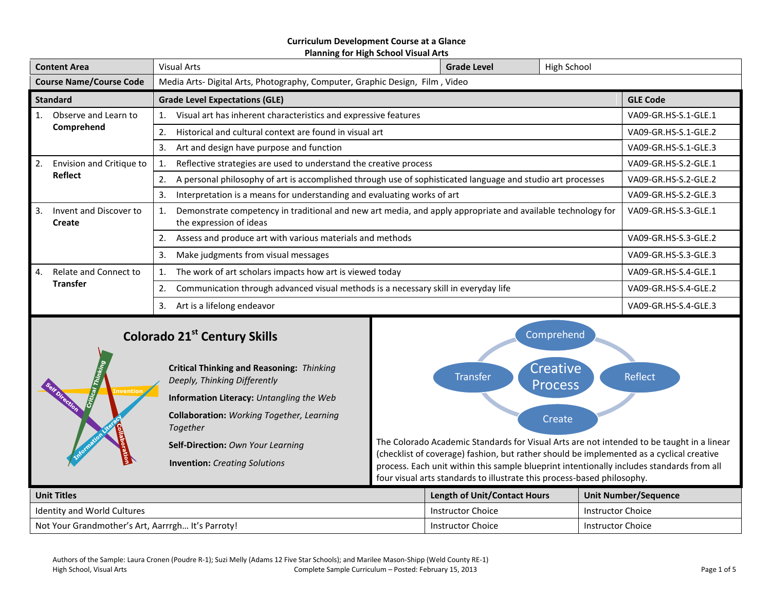#### **Curriculum Development Course at a Glance Planning for High School Visual Arts**

| <b>Content Area</b>            |                                                         | <b>Visual Arts</b>                                                                                                                                             | <b>Grade Level</b>   | High School |                      |  |
|--------------------------------|---------------------------------------------------------|----------------------------------------------------------------------------------------------------------------------------------------------------------------|----------------------|-------------|----------------------|--|
| <b>Course Name/Course Code</b> |                                                         | Media Arts- Digital Arts, Photography, Computer, Graphic Design, Film, Video                                                                                   |                      |             |                      |  |
| <b>Standard</b>                |                                                         | <b>Grade Level Expectations (GLE)</b>                                                                                                                          | <b>GLE Code</b>      |             |                      |  |
| 1.                             | Observe and Learn to                                    | Visual art has inherent characteristics and expressive features                                                                                                |                      |             | VA09-GR.HS-S.1-GLE.1 |  |
|                                | Comprehend                                              | Historical and cultural context are found in visual art                                                                                                        | VA09-GR.HS-S.1-GLE.2 |             |                      |  |
|                                |                                                         | 3.<br>Art and design have purpose and function                                                                                                                 | VA09-GR.HS-S.1-GLE.3 |             |                      |  |
| Envision and Critique to<br>2. |                                                         | Reflective strategies are used to understand the creative process                                                                                              |                      |             | VA09-GR.HS-S.2-GLE.1 |  |
|                                | <b>Reflect</b>                                          | A personal philosophy of art is accomplished through use of sophisticated language and studio art processes<br>2.                                              | VA09-GR.HS-S.2-GLE.2 |             |                      |  |
|                                |                                                         | 3.<br>Interpretation is a means for understanding and evaluating works of art                                                                                  | VA09-GR.HS-S.2-GLE.3 |             |                      |  |
| 3.                             | Invent and Discover to<br>Create                        | Demonstrate competency in traditional and new art media, and apply appropriate and available technology for<br>VA09-GR.HS-S.3-GLE.1<br>the expression of ideas |                      |             |                      |  |
|                                |                                                         | Assess and produce art with various materials and methods<br>2.                                                                                                |                      |             | VA09-GR.HS-S.3-GLE.2 |  |
|                                |                                                         | 3.<br>Make judgments from visual messages                                                                                                                      | VA09-GR.HS-S.3-GLE.3 |             |                      |  |
| 4.                             | Relate and Connect to                                   | The work of art scholars impacts how art is viewed today                                                                                                       |                      |             | VA09-GR.HS-S.4-GLE.1 |  |
|                                | <b>Transfer</b>                                         | Communication through advanced visual methods is a necessary skill in everyday life<br>2.                                                                      |                      |             | VA09-GR.HS-S.4-GLE.2 |  |
|                                | Art is a lifelong endeavor<br>3.                        |                                                                                                                                                                |                      |             | VA09-GR.HS-S.4-GLE.3 |  |
|                                | Calcus de 34 <sup>St</sup> Captum, Chille<br>Comprehend |                                                                                                                                                                |                      |             |                      |  |

# **Colorado 21st Century Skills**

**Invention**

**Critical Thinking and Reasoning:** *Thinking Deeply, Thinking Differently* **Information Literacy:** *Untangling the Web* **Collaboration:** *Working Together, Learning Together*

**Self-Direction:** *Own Your Learning*

**Invention:** *Creating Solutions*



The Colorado Academic Standards for Visual Arts are not intended to be taught in a linear (checklist of coverage) fashion, but rather should be implemented as a cyclical creative process. Each unit within this sample blueprint intentionally includes standards from all four visual arts standards to illustrate this process-based philosophy.

| <b>Unit Titles</b>                                | <b>Length of Unit/Contact Hours</b> | Unit Number/Sequence     |
|---------------------------------------------------|-------------------------------------|--------------------------|
| Identity and World Cultures                       | Instructor Choice                   | <b>Instructor Choice</b> |
| Not Your Grandmother's Art, Aarrrgh It's Parroty! | Instructor Choice                   | Instructor Choice        |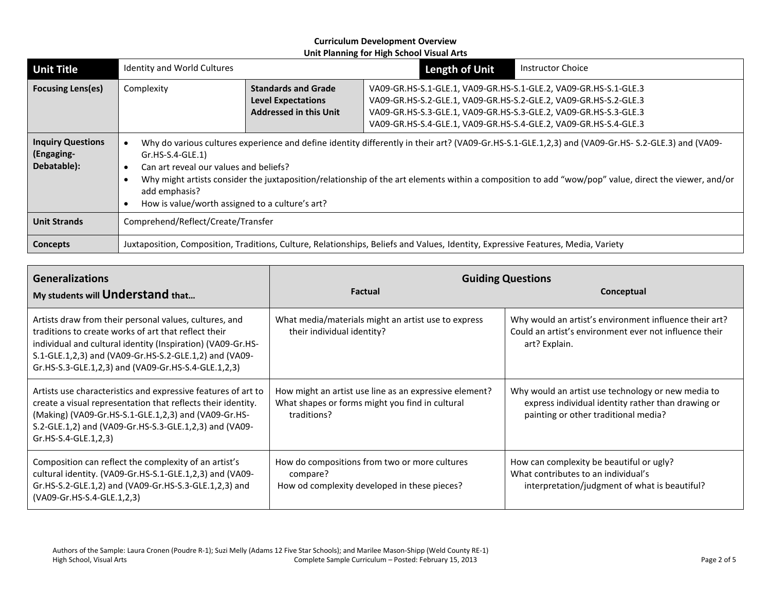| <b>Unit Title</b>                                     | Identity and World Cultures                                                                                                                                                                                                                                                                                                                                                                                                                   |                                                                                          | <b>Length of Unit</b>                                                                                                                                                                                                                                                        | <b>Instructor Choice</b> |  |
|-------------------------------------------------------|-----------------------------------------------------------------------------------------------------------------------------------------------------------------------------------------------------------------------------------------------------------------------------------------------------------------------------------------------------------------------------------------------------------------------------------------------|------------------------------------------------------------------------------------------|------------------------------------------------------------------------------------------------------------------------------------------------------------------------------------------------------------------------------------------------------------------------------|--------------------------|--|
| <b>Focusing Lens(es)</b>                              | Complexity                                                                                                                                                                                                                                                                                                                                                                                                                                    | <b>Standards and Grade</b><br><b>Level Expectations</b><br><b>Addressed in this Unit</b> | VA09-GR.HS-S.1-GLE.1, VA09-GR.HS-S.1-GLE.2, VA09-GR.HS-S.1-GLE.3<br>VA09-GR.HS-S.2-GLE.1, VA09-GR.HS-S.2-GLE.2, VA09-GR.HS-S.2-GLE.3<br>VA09-GR.HS-S.3-GLE.1, VA09-GR.HS-S.3-GLE.2, VA09-GR.HS-S.3-GLE.3<br>VA09-GR.HS-S.4-GLE.1, VA09-GR.HS-S.4-GLE.2, VA09-GR.HS-S.4-GLE.3 |                          |  |
| <b>Inquiry Questions</b><br>(Engaging-<br>Debatable): | Why do various cultures experience and define identity differently in their art? (VA09-Gr.HS-S.1-GLE.1,2,3) and (VA09-Gr.HS-S.2-GLE.3) and (VA09-<br>$Gr.HS-S.4-GLE.1)$<br>Can art reveal our values and beliefs?<br>Why might artists consider the juxtaposition/relationship of the art elements within a composition to add "wow/pop" value, direct the viewer, and/or<br>add emphasis?<br>How is value/worth assigned to a culture's art? |                                                                                          |                                                                                                                                                                                                                                                                              |                          |  |
| <b>Unit Strands</b>                                   | Comprehend/Reflect/Create/Transfer                                                                                                                                                                                                                                                                                                                                                                                                            |                                                                                          |                                                                                                                                                                                                                                                                              |                          |  |
| Concepts                                              | Juxtaposition, Composition, Traditions, Culture, Relationships, Beliefs and Values, Identity, Expressive Features, Media, Variety                                                                                                                                                                                                                                                                                                             |                                                                                          |                                                                                                                                                                                                                                                                              |                          |  |

| <b>Generalizations</b><br>My students will Understand that                                                                                                                                                                                                                                     | <b>Factual</b>                                                                                                           | <b>Guiding Questions</b><br>Conceptual                                                                                                           |  |
|------------------------------------------------------------------------------------------------------------------------------------------------------------------------------------------------------------------------------------------------------------------------------------------------|--------------------------------------------------------------------------------------------------------------------------|--------------------------------------------------------------------------------------------------------------------------------------------------|--|
| Artists draw from their personal values, cultures, and<br>traditions to create works of art that reflect their<br>individual and cultural identity (Inspiration) (VA09-Gr.HS-<br>S.1-GLE.1,2,3) and (VA09-Gr.HS-S.2-GLE.1,2) and (VA09-<br>Gr.HS-S.3-GLE.1,2,3) and (VA09-Gr.HS-S.4-GLE.1,2,3) | What media/materials might an artist use to express<br>their individual identity?                                        | Why would an artist's environment influence their art?<br>Could an artist's environment ever not influence their<br>art? Explain.                |  |
| Artists use characteristics and expressive features of art to<br>create a visual representation that reflects their identity.<br>(Making) (VA09-Gr.HS-S.1-GLE.1,2,3) and (VA09-Gr.HS-<br>S.2-GLE.1,2) and (VA09-Gr.HS-S.3-GLE.1,2,3) and (VA09-<br>Gr.HS-S.4-GLE.1,2,3)                        | How might an artist use line as an expressive element?<br>What shapes or forms might you find in cultural<br>traditions? | Why would an artist use technology or new media to<br>express individual identity rather than drawing or<br>painting or other traditional media? |  |
| Composition can reflect the complexity of an artist's<br>cultural identity. (VA09-Gr.HS-S.1-GLE.1,2,3) and (VA09-<br>Gr.HS-S.2-GLE.1,2) and (VA09-Gr.HS-S.3-GLE.1,2,3) and<br>(VA09-Gr.HS-S.4-GLE.1,2,3)                                                                                       | How do compositions from two or more cultures<br>compare?<br>How od complexity developed in these pieces?                | How can complexity be beautiful or ugly?<br>What contributes to an individual's<br>interpretation/judgment of what is beautiful?                 |  |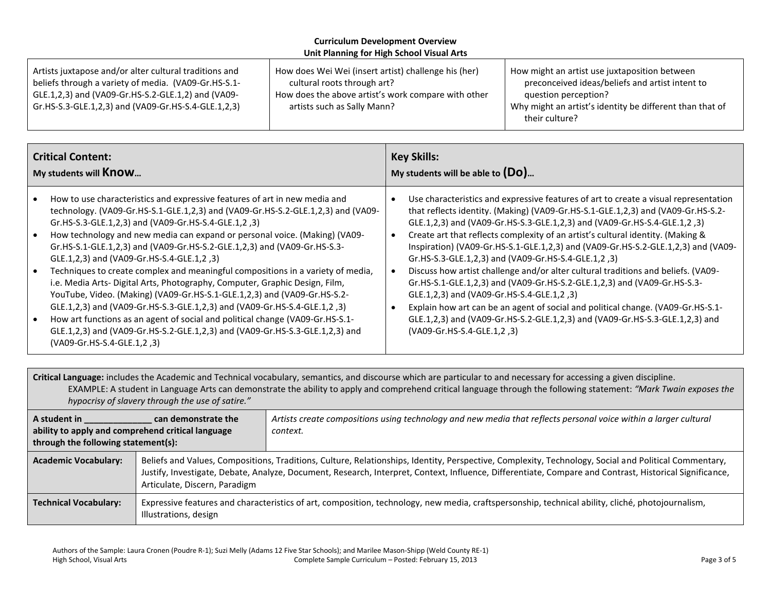| Artists juxtapose and/or alter cultural traditions and | How does Wei Wei (insert artist) challenge his (her) | How might an artist use juxtaposition between                              |
|--------------------------------------------------------|------------------------------------------------------|----------------------------------------------------------------------------|
| beliefs through a variety of media. (VA09-Gr.HS-S.1-   | cultural roots through art?                          | preconceived ideas/beliefs and artist intent to                            |
| GLE.1,2,3) and (VA09-Gr.HS-S.2-GLE.1,2) and (VA09-     | How does the above artist's work compare with other  | question perception?                                                       |
| Gr.HS-S.3-GLE.1,2,3) and (VA09-Gr.HS-S.4-GLE.1,2,3)    | artists such as Sally Mann?                          | Why might an artist's identity be different than that of<br>their culture? |

| <b>Critical Content:</b>                         |                                                                                                                                                                                                                                                                                                                                                                                                                                                                                                                                                                                                                                                                                                                                                                                                                                                                                                                                                        | <b>Key Skills:</b>                 |                                                                                                                                                                                                                                                                                                                                                                                                                                                                                                                                                                                                                                                                                                                                                                                                                                                                                                      |
|--------------------------------------------------|--------------------------------------------------------------------------------------------------------------------------------------------------------------------------------------------------------------------------------------------------------------------------------------------------------------------------------------------------------------------------------------------------------------------------------------------------------------------------------------------------------------------------------------------------------------------------------------------------------------------------------------------------------------------------------------------------------------------------------------------------------------------------------------------------------------------------------------------------------------------------------------------------------------------------------------------------------|------------------------------------|------------------------------------------------------------------------------------------------------------------------------------------------------------------------------------------------------------------------------------------------------------------------------------------------------------------------------------------------------------------------------------------------------------------------------------------------------------------------------------------------------------------------------------------------------------------------------------------------------------------------------------------------------------------------------------------------------------------------------------------------------------------------------------------------------------------------------------------------------------------------------------------------------|
| My students will <b>Know</b>                     |                                                                                                                                                                                                                                                                                                                                                                                                                                                                                                                                                                                                                                                                                                                                                                                                                                                                                                                                                        | My students will be able to $(Do)$ |                                                                                                                                                                                                                                                                                                                                                                                                                                                                                                                                                                                                                                                                                                                                                                                                                                                                                                      |
| $\bullet$<br>$\bullet$<br>$\bullet$<br>$\bullet$ | How to use characteristics and expressive features of art in new media and<br>technology. (VA09-Gr.HS-S.1-GLE.1,2,3) and (VA09-Gr.HS-S.2-GLE.1,2,3) and (VA09-<br>Gr.HS-S.3-GLE.1,2,3) and (VA09-Gr.HS-S.4-GLE.1,2,3)<br>How technology and new media can expand or personal voice. (Making) (VA09-<br>Gr.HS-S.1-GLE.1,2,3) and (VA09-Gr.HS-S.2-GLE.1,2,3) and (VA09-Gr.HS-S.3-<br>(3, GLE.1,2,3) and (VA09-Gr.HS-S.4-GLE.1,2<br>Techniques to create complex and meaningful compositions in a variety of media,<br>i.e. Media Arts- Digital Arts, Photography, Computer, Graphic Design, Film,<br>YouTube, Video. (Making) (VA09-Gr.HS-S.1-GLE.1,2,3) and (VA09-Gr.HS-S.2-<br>GLE.1,2,3) and (VA09-Gr.HS-S.3-GLE.1,2,3) and (VA09-Gr.HS-S.4-GLE.1,2,3)<br>How art functions as an agent of social and political change (VA09-Gr.HS-S.1-<br>GLE.1,2,3) and (VA09-Gr.HS-S.2-GLE.1,2,3) and (VA09-Gr.HS-S.3-GLE.1,2,3) and<br>(VA09-Gr.HS-S.4-GLE.1,2,3) |                                    | Use characteristics and expressive features of art to create a visual representation<br>that reflects identity. (Making) (VA09-Gr.HS-S.1-GLE.1,2,3) and (VA09-Gr.HS-S.2-<br>GLE.1,2,3) and (VA09-Gr.HS-S.3-GLE.1,2,3) and (VA09-Gr.HS-S.4-GLE.1,2,3)<br>Create art that reflects complexity of an artist's cultural identity. (Making &<br>Inspiration) (VA09-Gr.HS-S.1-GLE.1,2,3) and (VA09-Gr.HS-S.2-GLE.1,2,3) and (VA09-<br>Gr.HS-S.3-GLE.1,2,3) and (VA09-Gr.HS-S.4-GLE.1,2,3)<br>Discuss how artist challenge and/or alter cultural traditions and beliefs. (VA09-<br>Gr.HS-S.1-GLE.1,2,3) and (VA09-Gr.HS-S.2-GLE.1,2,3) and (VA09-Gr.HS-S.3-<br>(3, GLE.1,2,3) and (VA09-Gr.HS-S.4-GLE.1,2<br>Explain how art can be an agent of social and political change. (VA09-Gr.HS-S.1-<br>GLE.1,2,3) and (VA09-Gr.HS-S.2-GLE.1,2,3) and (VA09-Gr.HS-S.3-GLE.1,2,3) and<br>(VA09-Gr.HS-S.4-GLE.1,2,3) |

**Critical Language:** includes the Academic and Technical vocabulary, semantics, and discourse which are particular to and necessary for accessing a given discipline. EXAMPLE: A student in Language Arts can demonstrate the ability to apply and comprehend critical language through the following statement: *"Mark Twain exposes the hypocrisy of slavery through the use of satire."*

| A student in<br>can demonstrate the<br>ability to apply and comprehend critical language<br>through the following statement(s): |                                                                                                                                                                                                                                                                                                                                                   | Artists create compositions using technology and new media that reflects personal voice within a larger cultural<br>context.                      |  |
|---------------------------------------------------------------------------------------------------------------------------------|---------------------------------------------------------------------------------------------------------------------------------------------------------------------------------------------------------------------------------------------------------------------------------------------------------------------------------------------------|---------------------------------------------------------------------------------------------------------------------------------------------------|--|
| <b>Academic Vocabulary:</b>                                                                                                     | Beliefs and Values, Compositions, Traditions, Culture, Relationships, Identity, Perspective, Complexity, Technology, Social and Political Commentary,<br>Justify, Investigate, Debate, Analyze, Document, Research, Interpret, Context, Influence, Differentiate, Compare and Contrast, Historical Significance,<br>Articulate, Discern, Paradigm |                                                                                                                                                   |  |
| <b>Technical Vocabulary:</b><br>Illustrations, design                                                                           |                                                                                                                                                                                                                                                                                                                                                   | Expressive features and characteristics of art, composition, technology, new media, craftspersonship, technical ability, cliché, photojournalism, |  |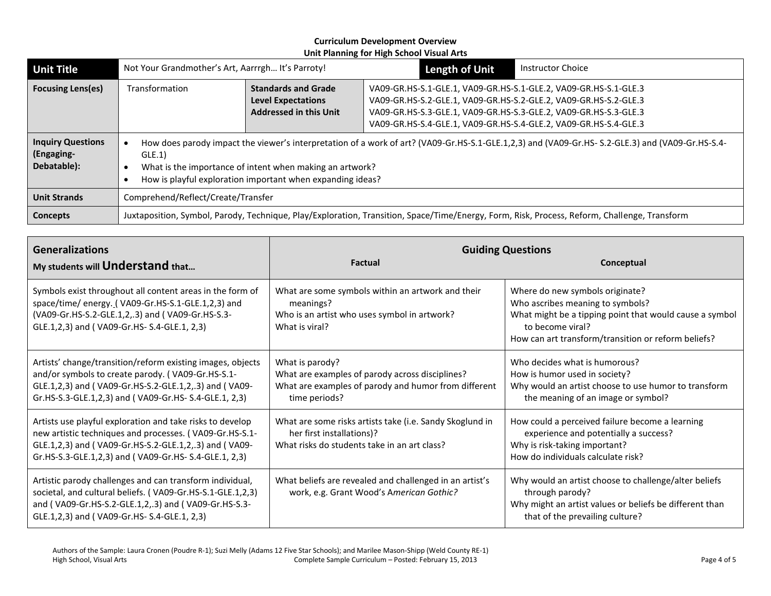| <b>Unit Title</b>                                     | Not Your Grandmother's Art, Aarrrgh It's Parroty!                                                                                                                                                                                                                                        |                                                                                          | <b>Length of Unit</b>                                                                                                                                                                                                                                                        | <b>Instructor Choice</b> |  |
|-------------------------------------------------------|------------------------------------------------------------------------------------------------------------------------------------------------------------------------------------------------------------------------------------------------------------------------------------------|------------------------------------------------------------------------------------------|------------------------------------------------------------------------------------------------------------------------------------------------------------------------------------------------------------------------------------------------------------------------------|--------------------------|--|
| <b>Focusing Lens(es)</b>                              | Transformation                                                                                                                                                                                                                                                                           | <b>Standards and Grade</b><br><b>Level Expectations</b><br><b>Addressed in this Unit</b> | VA09-GR.HS-S.1-GLE.1, VA09-GR.HS-S.1-GLE.2, VA09-GR.HS-S.1-GLE.3<br>VA09-GR.HS-S.2-GLE.1, VA09-GR.HS-S.2-GLE.2, VA09-GR.HS-S.2-GLE.3<br>VA09-GR.HS-S.3-GLE.1, VA09-GR.HS-S.3-GLE.2, VA09-GR.HS-S.3-GLE.3<br>VA09-GR.HS-S.4-GLE.1, VA09-GR.HS-S.4-GLE.2, VA09-GR.HS-S.4-GLE.3 |                          |  |
| <b>Inquiry Questions</b><br>(Engaging-<br>Debatable): | How does parody impact the viewer's interpretation of a work of art? (VA09-Gr.HS-S.1-GLE.1,2,3) and (VA09-Gr.HS-S.2-GLE.3) and (VA09-Gr.HS-S.2-GLE.3)<br>GLE.1<br>What is the importance of intent when making an artwork?<br>How is playful exploration important when expanding ideas? |                                                                                          |                                                                                                                                                                                                                                                                              |                          |  |
| <b>Unit Strands</b>                                   | Comprehend/Reflect/Create/Transfer                                                                                                                                                                                                                                                       |                                                                                          |                                                                                                                                                                                                                                                                              |                          |  |
| <b>Concepts</b>                                       | Juxtaposition, Symbol, Parody, Technique, Play/Exploration, Transition, Space/Time/Energy, Form, Risk, Process, Reform, Challenge, Transform                                                                                                                                             |                                                                                          |                                                                                                                                                                                                                                                                              |                          |  |

| <b>Generalizations</b><br>My students will Understand that                                                                                                                                                                            | <b>Factual</b>                                                                                                                              | <b>Guiding Questions</b><br>Conceptual                                                                                                                                                                    |  |
|---------------------------------------------------------------------------------------------------------------------------------------------------------------------------------------------------------------------------------------|---------------------------------------------------------------------------------------------------------------------------------------------|-----------------------------------------------------------------------------------------------------------------------------------------------------------------------------------------------------------|--|
| Symbols exist throughout all content areas in the form of<br>space/time/ energy. (VA09-Gr.HS-S.1-GLE.1,2,3) and<br>(VA09-Gr.HS-S.2-GLE.1,2,.3) and (VA09-Gr.HS-S.3-<br>GLE.1,2,3) and (VA09-Gr.HS-S.4-GLE.1, 2,3)                     | What are some symbols within an artwork and their<br>meanings?<br>Who is an artist who uses symbol in artwork?<br>What is viral?            | Where do new symbols originate?<br>Who ascribes meaning to symbols?<br>What might be a tipping point that would cause a symbol<br>to become viral?<br>How can art transform/transition or reform beliefs? |  |
| Artists' change/transition/reform existing images, objects<br>and/or symbols to create parody. (VA09-Gr.HS-S.1-<br>GLE.1,2,3) and (VA09-Gr.HS-S.2-GLE.1,2,.3) and (VA09-<br>Gr.HS-S.3-GLE.1,2,3) and (VA09-Gr.HS-S.4-GLE.1, 2,3)      | What is parody?<br>What are examples of parody across disciplines?<br>What are examples of parody and humor from different<br>time periods? | Who decides what is humorous?<br>How is humor used in society?<br>Why would an artist choose to use humor to transform<br>the meaning of an image or symbol?                                              |  |
| Artists use playful exploration and take risks to develop<br>new artistic techniques and processes. (VA09-Gr.HS-S.1-<br>GLE.1,2,3) and (VA09-Gr.HS-S.2-GLE.1,2,.3) and (VA09-<br>Gr.HS-S.3-GLE.1,2,3) and (VA09-Gr.HS-S.4-GLE.1, 2,3) | What are some risks artists take (i.e. Sandy Skoglund in<br>her first installations)?<br>What risks do students take in an art class?       | How could a perceived failure become a learning<br>experience and potentially a success?<br>Why is risk-taking important?<br>How do individuals calculate risk?                                           |  |
| Artistic parody challenges and can transform individual,<br>societal, and cultural beliefs. (VA09-Gr.HS-S.1-GLE.1,2,3)<br>and (VA09-Gr.HS-S.2-GLE.1,2,.3) and (VA09-Gr.HS-S.3-<br>GLE.1,2,3) and (VA09-Gr.HS-S.4-GLE.1, 2,3)          | What beliefs are revealed and challenged in an artist's<br>work, e.g. Grant Wood's American Gothic?                                         | Why would an artist choose to challenge/alter beliefs<br>through parody?<br>Why might an artist values or beliefs be different than<br>that of the prevailing culture?                                    |  |